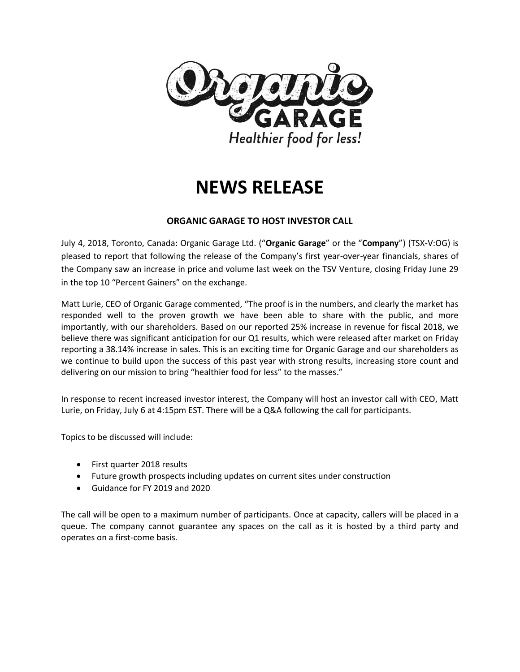

# **NEWS RELEASE**

## **ORGANIC GARAGE TO HOST INVESTOR CALL**

July 4, 2018, Toronto, Canada: Organic Garage Ltd. ("**Organic Garage**" or the "**Company**") (TSX-V:OG) is pleased to report that following the release of the Company's first year-over-year financials, shares of the Company saw an increase in price and volume last week on the TSV Venture, closing Friday June 29 in the top 10 "Percent Gainers" on the exchange.

Matt Lurie, CEO of Organic Garage commented, "The proof is in the numbers, and clearly the market has responded well to the proven growth we have been able to share with the public, and more importantly, with our shareholders. Based on our reported 25% increase in revenue for fiscal 2018, we believe there was significant anticipation for our Q1 results, which were released after market on Friday reporting a 38.14% increase in sales. This is an exciting time for Organic Garage and our shareholders as we continue to build upon the success of this past year with strong results, increasing store count and delivering on our mission to bring "healthier food for less" to the masses."

In response to recent increased investor interest, the Company will host an investor call with CEO, Matt Lurie, on Friday, July 6 at 4:15pm EST. There will be a Q&A following the call for participants.

Topics to be discussed will include:

- First quarter 2018 results
- Future growth prospects including updates on current sites under construction
- Guidance for FY 2019 and 2020

The call will be open to a maximum number of participants. Once at capacity, callers will be placed in a queue. The company cannot guarantee any spaces on the call as it is hosted by a third party and operates on a first-come basis.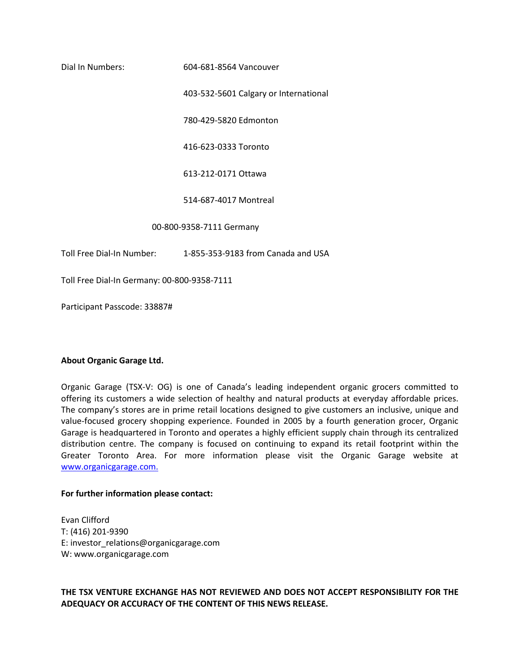Dial In Numbers: 604-681-8564 Vancouver

403-532-5601 Calgary or International

780-429-5820 Edmonton

416-623-0333 Toronto

613-212-0171 Ottawa

514-687-4017 Montreal

00-800-9358-7111 Germany

Toll Free Dial-In Number: 1-855-353-9183 from Canada and USA

Toll Free Dial-In Germany: 00-800-9358-7111

Participant Passcode: 33887#

### **About Organic Garage Ltd.**

Organic Garage (TSX-V: OG) is one of Canada's leading independent organic grocers committed to offering its customers a wide selection of healthy and natural products at everyday affordable prices. The company's stores are in prime retail locations designed to give customers an inclusive, unique and value-focused grocery shopping experience. Founded in 2005 by a fourth generation grocer, Organic Garage is headquartered in Toronto and operates a highly efficient supply chain through its centralized distribution centre. The company is focused on continuing to expand its retail footprint within the Greater Toronto Area. For more information please visit the Organic Garage website at [www.organicgarage.com.](http://www.organicgarage.com/)

#### **For further information please contact:**

Evan Clifford T: (416) 201-9390 E: investor\_relations@organicgarage.com W: www.organicgarage.com

**THE TSX VENTURE EXCHANGE HAS NOT REVIEWED AND DOES NOT ACCEPT RESPONSIBILITY FOR THE ADEQUACY OR ACCURACY OF THE CONTENT OF THIS NEWS RELEASE.**